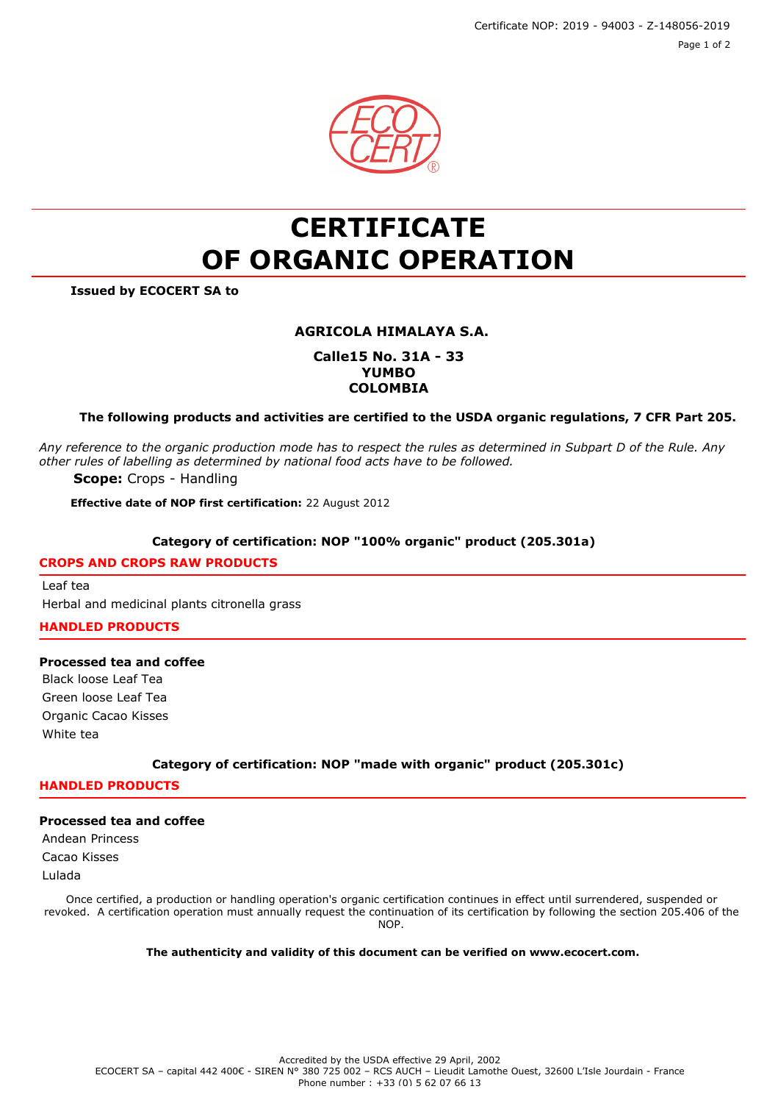Certificate NOP: 2019 - 94003 - Z-148056-2019 Page 1 of 2



# **CERTIFICATE OF ORGANIC OPERATION**

**Issued by ECOCERT SA to**

# **AGRICOLA HIMALAYA S.A.**

## **Calle15 No. 31A - 33 YUMBO COLOMBIA**

## **The following products and activities are certified to the USDA organic regulations, 7 CFR Part 205.**

*Any reference to the organic production mode has to respect the rules as determined in Subpart D of the Rule. Any other rules of labelling as determined by national food acts have to be followed.*

**Scope:** Crops - Handling

**Effective date of NOP first certification:** 22 August 2012

#### **Category of certification: NOP "100% organic" product (205.301a)**

#### **CROPS AND CROPS RAW PRODUCTS**

Leaf tea Herbal and medicinal plants citronella grass

**HANDLED PRODUCTS**

#### **Processed tea and coffee**

Black loose Leaf Tea Green loose Leaf Tea Organic Cacao Kisses White tea

**Category of certification: NOP "made with organic" product (205.301c)**

# **HANDLED PRODUCTS**

# **Processed tea and coffee**

Andean Princess Cacao Kisses Lulada

Once certified, a production or handling operation's organic certification continues in effect until surrendered, suspended or revoked. A certification operation must annually request the continuation of its certification by following the section 205.406 of the NOP.

**The authenticity and validity of this document can be verified on www.ecocert.com.**